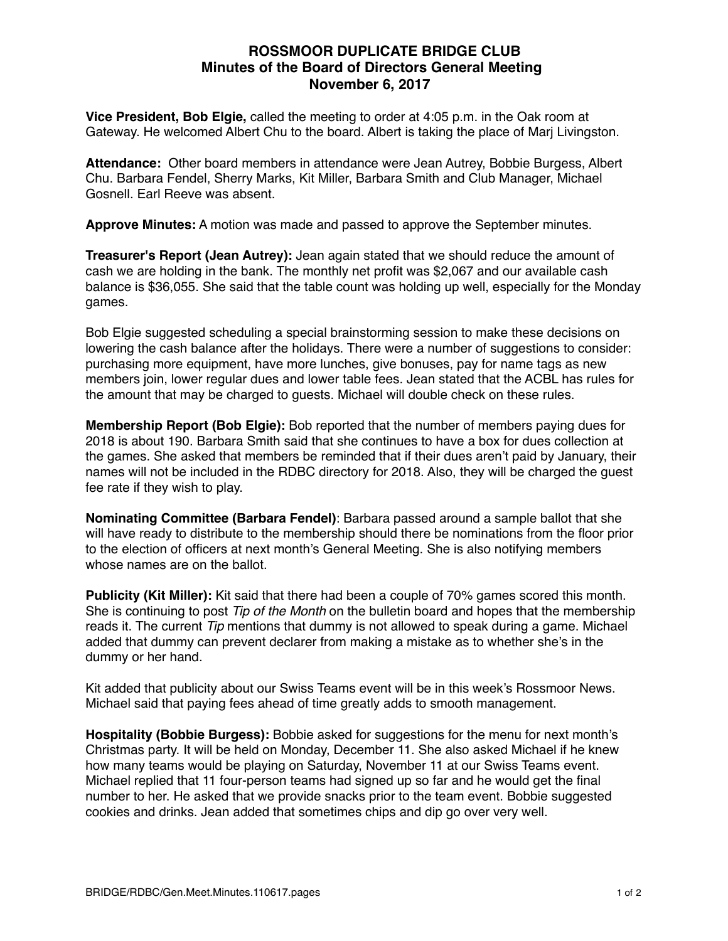# **ROSSMOOR DUPLICATE BRIDGE CLUB Minutes of the Board of Directors General Meeting November 6, 2017**

**Vice President, Bob Elgie,** called the meeting to order at 4:05 p.m. in the Oak room at Gateway. He welcomed Albert Chu to the board. Albert is taking the place of Marj Livingston.

**Attendance:** Other board members in attendance were Jean Autrey, Bobbie Burgess, Albert Chu. Barbara Fendel, Sherry Marks, Kit Miller, Barbara Smith and Club Manager, Michael Gosnell. Earl Reeve was absent.

**Approve Minutes:** A motion was made and passed to approve the September minutes.

**Treasurer's Report (Jean Autrey):** Jean again stated that we should reduce the amount of cash we are holding in the bank. The monthly net profit was \$2,067 and our available cash balance is \$36,055. She said that the table count was holding up well, especially for the Monday games.

Bob Elgie suggested scheduling a special brainstorming session to make these decisions on lowering the cash balance after the holidays. There were a number of suggestions to consider: purchasing more equipment, have more lunches, give bonuses, pay for name tags as new members join, lower regular dues and lower table fees. Jean stated that the ACBL has rules for the amount that may be charged to guests. Michael will double check on these rules.

**Membership Report (Bob Elgie):** Bob reported that the number of members paying dues for 2018 is about 190. Barbara Smith said that she continues to have a box for dues collection at the games. She asked that members be reminded that if their dues aren't paid by January, their names will not be included in the RDBC directory for 2018. Also, they will be charged the guest fee rate if they wish to play.

**Nominating Committee (Barbara Fendel)**: Barbara passed around a sample ballot that she will have ready to distribute to the membership should there be nominations from the floor prior to the election of officers at next month's General Meeting. She is also notifying members whose names are on the ballot.

**Publicity (Kit Miller):** Kit said that there had been a couple of 70% games scored this month. She is continuing to post *Tip of the Month* on the bulletin board and hopes that the membership reads it. The current *Tip* mentions that dummy is not allowed to speak during a game. Michael added that dummy can prevent declarer from making a mistake as to whether she's in the dummy or her hand.

Kit added that publicity about our Swiss Teams event will be in this week's Rossmoor News. Michael said that paying fees ahead of time greatly adds to smooth management.

**Hospitality (Bobbie Burgess):** Bobbie asked for suggestions for the menu for next month's Christmas party. It will be held on Monday, December 11. She also asked Michael if he knew how many teams would be playing on Saturday, November 11 at our Swiss Teams event. Michael replied that 11 four-person teams had signed up so far and he would get the final number to her. He asked that we provide snacks prior to the team event. Bobbie suggested cookies and drinks. Jean added that sometimes chips and dip go over very well.